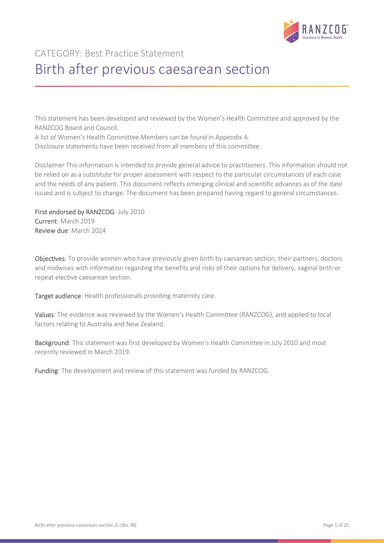

# CATEGORY: Best Practice Statement Birth after previous caesarean section

This statement has been developed and reviewed by the Women's Health Committee and approved by the RANZCOG Board and Council.

A list of Women's Health Committee Members can be found in Appendix A.

Disclosure statements have been received from all members of this committee.

Disclaimer This information is intended to provide general advice to practitioners. This information should not be relied on as a substitute for proper assessment with respect to the particular circumstances of each case and the needs of any patient. This document reflects emerging clinical and scientific advances as of the date issued and is subject to change. The document has been prepared having regard to general circumstances.

First endorsed by RANZCOG: July 2010 Current: March 2019 Review due: March 2024

Objectives: To provide women who have previously given birth by caesarean section, their partners, doctors and midwives with information regarding the benefits and risks of their options for delivery, vaginal birth or repeat elective caesarean section.

Target audience: Health professionals providing maternity care.

Values: The evidence was reviewed by the Women's Health Committee (RANZCOG), and applied to local factors relating to Australia and New Zealand.

Background: This statement was first developed by Women's Health Committee in July 2010 and most recently reviewed in March 2019.

Funding: The development and review of this statement was funded by RANZCOG.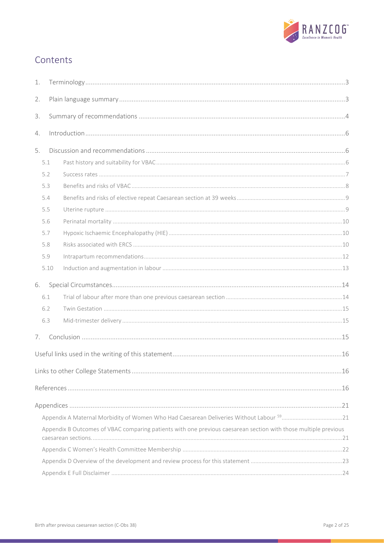

# Contents

| 1. |  |                                                                                                                 |  |  |  |
|----|--|-----------------------------------------------------------------------------------------------------------------|--|--|--|
| 2. |  |                                                                                                                 |  |  |  |
| 3. |  |                                                                                                                 |  |  |  |
| 4. |  |                                                                                                                 |  |  |  |
| 5. |  |                                                                                                                 |  |  |  |
|    |  | 5.1                                                                                                             |  |  |  |
|    |  | 5.2                                                                                                             |  |  |  |
|    |  |                                                                                                                 |  |  |  |
|    |  | 5.3                                                                                                             |  |  |  |
|    |  | 5.4                                                                                                             |  |  |  |
|    |  | 5.5                                                                                                             |  |  |  |
|    |  | 5.6                                                                                                             |  |  |  |
|    |  | 5.7                                                                                                             |  |  |  |
|    |  | 5.8                                                                                                             |  |  |  |
|    |  | 5.9                                                                                                             |  |  |  |
|    |  | 5.10                                                                                                            |  |  |  |
| 6. |  |                                                                                                                 |  |  |  |
|    |  | 6.1                                                                                                             |  |  |  |
|    |  | 6.2                                                                                                             |  |  |  |
|    |  | 6.3                                                                                                             |  |  |  |
| 7. |  |                                                                                                                 |  |  |  |
|    |  |                                                                                                                 |  |  |  |
|    |  |                                                                                                                 |  |  |  |
|    |  |                                                                                                                 |  |  |  |
|    |  |                                                                                                                 |  |  |  |
|    |  |                                                                                                                 |  |  |  |
|    |  | Appendix B Outcomes of VBAC comparing patients with one previous caesarean section with those multiple previous |  |  |  |
|    |  |                                                                                                                 |  |  |  |
|    |  |                                                                                                                 |  |  |  |
|    |  |                                                                                                                 |  |  |  |
|    |  |                                                                                                                 |  |  |  |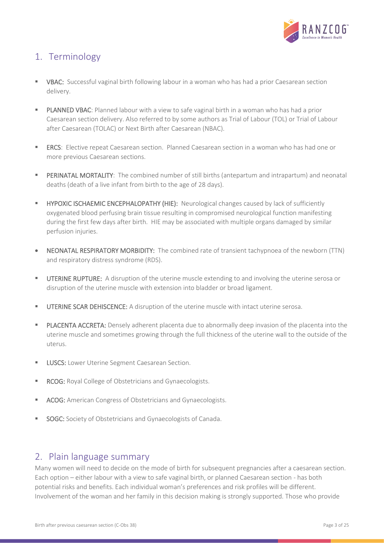

# <span id="page-2-0"></span>1. Terminology

- VBAC: Successful vaginal birth following labour in a woman who has had a prior Caesarean section delivery.
- PLANNED VBAC: Planned labour with a view to safe vaginal birth in a woman who has had a prior Caesarean section delivery. Also referred to by some authors as Trial of Labour (TOL) or Trial of Labour after Caesarean (TOLAC) or Next Birth after Caesarean (NBAC).
- ERCS: Elective repeat Caesarean section. Planned Caesarean section in a woman who has had one or more previous Caesarean sections.
- **PERINATAL MORTALITY:** The combined number of still births (antepartum and intrapartum) and neonatal deaths (death of a live infant from birth to the age of 28 days).
- HYPOXIC ISCHAEMIC ENCEPHALOPATHY (HIE): Neurological changes caused by lack of sufficiently oxygenated blood perfusing brain tissue resulting in compromised neurological function manifesting during the first few days after birth. HIE may be associated with multiple organs damaged by similar perfusion injuries.
- NEONATAL RESPIRATORY MORBIDITY: The combined rate of transient tachypnoea of the newborn (TTN) and respiratory distress syndrome (RDS).
- UTERINE RUPTURE: A disruption of the uterine muscle extending to and involving the uterine serosa or disruption of the uterine muscle with extension into bladder or broad ligament.
- **UTERINE SCAR DEHISCENCE:** A disruption of the uterine muscle with intact uterine serosa.
- PLACENTA ACCRETA: Densely adherent placenta due to abnormally deep invasion of the placenta into the uterine muscle and sometimes growing through the full thickness of the uterine wall to the outside of the uterus.
- **ELUSCS:** Lower Uterine Segment Caesarean Section.
- **RCOG:** Royal College of Obstetricians and Gynaecologists.
- ACOG: American Congress of Obstetricians and Gynaecologists.
- **SOGC:** Society of Obstetricians and Gynaecologists of Canada.

# <span id="page-2-1"></span>2. Plain language summary

Many women will need to decide on the mode of birth for subsequent pregnancies after a caesarean section. Each option – either labour with a view to safe vaginal birth, or planned Caesarean section - has both potential risks and benefits. Each individual woman's preferences and risk profiles will be different. Involvement of the woman and her family in this decision making is strongly supported. Those who provide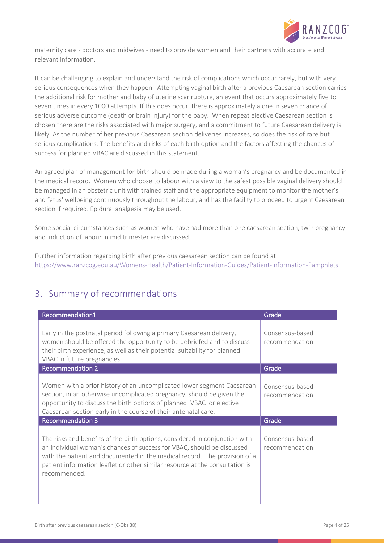

maternity care - doctors and midwives - need to provide women and their partners with accurate and relevant information.

It can be challenging to explain and understand the risk of complications which occur rarely, but with very serious consequences when they happen. Attempting vaginal birth after a previous Caesarean section carries the additional risk for mother and baby of uterine scar rupture, an event that occurs approximately five to seven times in every 1000 attempts. If this does occur, there is approximately a one in seven chance of serious adverse outcome (death or brain injury) for the baby. When repeat elective Caesarean section is chosen there are the risks associated with major surgery, and a commitment to future Caesarean delivery is likely. As the number of her previous Caesarean section deliveries increases, so does the risk of rare but serious complications. The benefits and risks of each birth option and the factors affecting the chances of success for planned VBAC are discussed in this statement.

An agreed plan of management for birth should be made during a woman's pregnancy and be documented in the medical record. Women who choose to labour with a view to the safest possible vaginal delivery should be managed in an obstetric unit with trained staff and the appropriate equipment to monitor the mother's and fetus' wellbeing continuously throughout the labour, and has the facility to proceed to urgent Caesarean section if required. Epidural analgesia may be used.

Some special circumstances such as women who have had more than one caesarean section, twin pregnancy and induction of labour in mid trimester are discussed.

Further information regarding birth after previous caesarean section can be found at: <https://www.ranzcog.edu.au/Womens-Health/Patient-Information-Guides/Patient-Information-Pamphlets>

# <span id="page-3-0"></span>3. Summary of recommendations

| Recommendation1                                                                                                                                                                                                                                                                                                                    | Grade                             |
|------------------------------------------------------------------------------------------------------------------------------------------------------------------------------------------------------------------------------------------------------------------------------------------------------------------------------------|-----------------------------------|
| Early in the postnatal period following a primary Caesarean delivery,<br>women should be offered the opportunity to be debriefed and to discuss<br>their birth experience, as well as their potential suitability for planned<br>VBAC in future pregnancies.                                                                       | Consensus-based<br>recommendation |
| <b>Recommendation 2</b>                                                                                                                                                                                                                                                                                                            | Grade                             |
| Women with a prior history of an uncomplicated lower segment Caesarean<br>section, in an otherwise uncomplicated pregnancy, should be given the<br>opportunity to discuss the birth options of planned VBAC or elective<br>Caesarean section early in the course of their antenatal care.                                          | Consensus-based<br>recommendation |
| <b>Recommendation 3</b>                                                                                                                                                                                                                                                                                                            | Grade                             |
| The risks and benefits of the birth options, considered in conjunction with<br>an individual woman's chances of success for VBAC, should be discussed<br>with the patient and documented in the medical record. The provision of a<br>patient information leaflet or other similar resource at the consultation is<br>recommended. | Consensus-based<br>recommendation |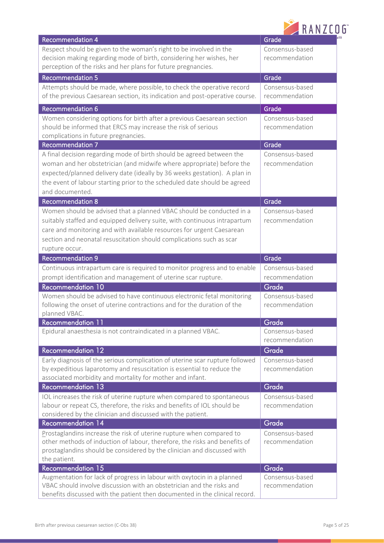|  | <b>RANZCOG</b> |  |  |  |
|--|----------------|--|--|--|
|  |                |  |  |  |

| <b>Recommendation 4</b>                                                                                                                            | Grade                    |
|----------------------------------------------------------------------------------------------------------------------------------------------------|--------------------------|
| Respect should be given to the woman's right to be involved in the                                                                                 | Consensus-based          |
| decision making regarding mode of birth, considering her wishes, her                                                                               | recommendation           |
| perception of the risks and her plans for future pregnancies.                                                                                      |                          |
| <b>Recommendation 5</b>                                                                                                                            | Grade                    |
| Attempts should be made, where possible, to check the operative record                                                                             | Consensus-based          |
| of the previous Caesarean section, its indication and post-operative course.                                                                       | recommendation           |
| <b>Recommendation 6</b>                                                                                                                            | Grade                    |
| Women considering options for birth after a previous Caesarean section                                                                             | Consensus-based          |
| should be informed that ERCS may increase the risk of serious                                                                                      | recommendation           |
| complications in future pregnancies.                                                                                                               |                          |
| <b>Recommendation 7</b>                                                                                                                            | Grade                    |
| A final decision regarding mode of birth should be agreed between the                                                                              | Consensus-based          |
| woman and her obstetrician (and midwife where appropriate) before the                                                                              | recommendation           |
| expected/planned delivery date (ideally by 36 weeks gestation). A plan in                                                                          |                          |
| the event of labour starting prior to the scheduled date should be agreed                                                                          |                          |
| and documented.                                                                                                                                    |                          |
| <b>Recommendation 8</b>                                                                                                                            | Grade                    |
| Women should be advised that a planned VBAC should be conducted in a                                                                               | Consensus-based          |
| suitably staffed and equipped delivery suite, with continuous intrapartum                                                                          | recommendation           |
| care and monitoring and with available resources for urgent Caesarean                                                                              |                          |
| section and neonatal resuscitation should complications such as scar                                                                               |                          |
| rupture occur.                                                                                                                                     |                          |
| <b>Recommendation 9</b>                                                                                                                            | Grade                    |
| Continuous intrapartum care is required to monitor progress and to enable                                                                          | Consensus-based          |
| prompt identification and management of uterine scar rupture.                                                                                      | recommendation           |
| Recommendation 10<br>Women should be advised to have continuous electronic fetal monitoring                                                        | Grade<br>Consensus-based |
| following the onset of uterine contractions and for the duration of the                                                                            | recommendation           |
| planned VBAC.                                                                                                                                      |                          |
| <b>Recommendation 11</b>                                                                                                                           | Grade                    |
| Epidural anaesthesia is not contraindicated in a planned VBAC.                                                                                     | Consensus-based          |
|                                                                                                                                                    | recommendation           |
| <b>Recommendation 12</b>                                                                                                                           | Grade                    |
| Early diagnosis of the serious complication of uterine scar rupture followed                                                                       | Consensus-based          |
| by expeditious laparotomy and resuscitation is essential to reduce the                                                                             | recommendation           |
| associated morbidity and mortality for mother and infant.                                                                                          |                          |
| Recommendation 13                                                                                                                                  | Grade                    |
| IOL increases the risk of uterine rupture when compared to spontaneous                                                                             | Consensus-based          |
| labour or repeat CS, therefore, the risks and benefits of IOL should be                                                                            | recommendation           |
| considered by the clinician and discussed with the patient.<br><b>Recommendation 14</b>                                                            |                          |
|                                                                                                                                                    | Grade<br>Consensus-based |
| Prostaglandins increase the risk of uterine rupture when compared to<br>other methods of induction of labour, therefore, the risks and benefits of | recommendation           |
| prostaglandins should be considered by the clinician and discussed with                                                                            |                          |
| the patient.                                                                                                                                       |                          |
| <b>Recommendation 15</b>                                                                                                                           | Grade                    |
| Augmentation for lack of progress in labour with oxytocin in a planned                                                                             | Consensus-based          |
| VBAC should involve discussion with an obstetrician and the risks and                                                                              | recommendation           |
| benefits discussed with the patient then documented in the clinical record.                                                                        |                          |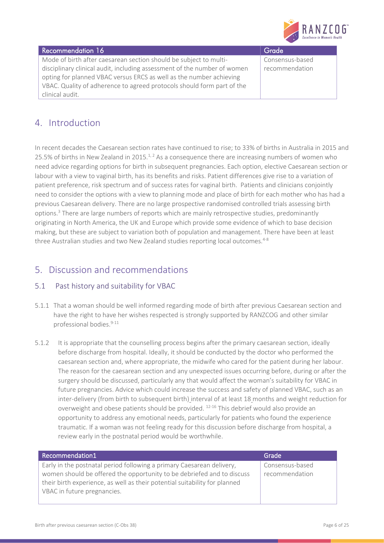

### Recommendation 16 Grade Recommendation 16 Mode of birth after caesarean section should be subject to multidisciplinary clinical audit, including assessment of the number of women opting for planned VBAC versus ERCS as well as the number achieving VBAC. Quality of adherence to agreed protocols should form part of the clinical audit.

Consensus-based recommendation

# <span id="page-5-0"></span>4. Introduction

In recent decades the Caesarean section rates have continued to rise; to 33% of births in Australia in 2015 and 25.5% of births in New Zealand in 2015.<sup>[1,](#page-15-3) [2](#page-15-4)</sup> As a consequence there are increasing numbers of women who need advice regarding options for birth in subsequent pregnancies. Each option, elective Caesarean section or labour with a view to vaginal birth, has its benefits and risks. Patient differences give rise to a variation of patient preference, risk spectrum and of success rates for vaginal birth. Patients and clinicians conjointly need to consider the options with a view to planning mode and place of birth for each mother who has had a previous Caesarean delivery. There are no large prospective randomised controlled trials assessing birth options.[3](#page-15-5) There are large numbers of reports which are mainly retrospective studies, predominantly originating in North America, the UK and Europe which provide some evidence of which to base decision making, but these are subject to variation both of population and management. There have been at least three Australian studies and two New Zealand studies reporting local outcomes.<sup>[4-8](#page-15-6)</sup>

# <span id="page-5-1"></span>5. Discussion and recommendations

## <span id="page-5-2"></span>5.1 Past history and suitability for VBAC

- 5.1.1 That a woman should be well informed regarding mode of birth after previous Caesarean section and have the right to have her wishes respected is strongly supported by RANZCOG and other similar professional bodies. [9-11](#page-16-0)
- 5.1.2 It is appropriate that the counselling process begins after the primary caesarean section, ideally before discharge from hospital. Ideally, it should be conducted by the doctor who performed the caesarean section and, where appropriate, the midwife who cared for the patient during her labour. The reason for the caesarean section and any unexpected issues occurring before, during or after the surgery should be discussed, particularly any that would affect the woman's suitability for VBAC in future pregnancies. Advice which could increase the success and safety of planned VBAC, such as an inter-delivery (from birth to subsequent birth) interval of at least 18 months and weight reduction for overweight and obese patients should be provided. [12-16](#page-16-1) This debrief would also provide an opportunity to address any emotional needs, particularly for patients who found the experience traumatic. If a woman was not feeling ready for this discussion before discharge from hospital, a review early in the postnatal period would be worthwhile.

| Recommendation1                                                                                                                                                                                                                                              | Grade                             |
|--------------------------------------------------------------------------------------------------------------------------------------------------------------------------------------------------------------------------------------------------------------|-----------------------------------|
| Early in the postnatal period following a primary Caesarean delivery,<br>women should be offered the opportunity to be debriefed and to discuss<br>their birth experience, as well as their potential suitability for planned<br>VBAC in future pregnancies. | Consensus-based<br>recommendation |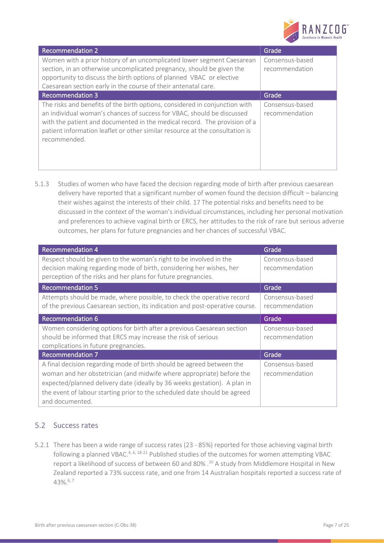

| <b>Recommendation 2</b>                                                                                                                                                                                                                                                                                                            | Grade                             |
|------------------------------------------------------------------------------------------------------------------------------------------------------------------------------------------------------------------------------------------------------------------------------------------------------------------------------------|-----------------------------------|
| Women with a prior history of an uncomplicated lower segment Caesarean<br>section, in an otherwise uncomplicated pregnancy, should be given the<br>opportunity to discuss the birth options of planned VBAC or elective<br>Caesarean section early in the course of their antenatal care.                                          | Consensus-based<br>recommendation |
| <b>Recommendation 3</b>                                                                                                                                                                                                                                                                                                            | Grade                             |
| The risks and benefits of the birth options, considered in conjunction with<br>an individual woman's chances of success for VBAC, should be discussed<br>with the patient and documented in the medical record. The provision of a<br>patient information leaflet or other similar resource at the consultation is<br>recommended. | Consensus-based<br>recommendation |

5.1.3 Studies of women who have faced the decision regarding mode of birth after previous caesarean delivery have reported that a significant number of women found the decision difficult – balancing their wishes against the interests of their child. [17](#page-16-2) The potential risks and benefits need to be discussed in the context of the woman's individual circumstances, including her personal motivation and preferences to achieve vaginal birth or ERCS, her attitudes to the risk of rare but serious adverse outcomes, her plans for future pregnancies and her chances of successful VBAC.

| <b>Recommendation 4</b>                                                                                                                                                                                                                                                                                                     | Grade                             |
|-----------------------------------------------------------------------------------------------------------------------------------------------------------------------------------------------------------------------------------------------------------------------------------------------------------------------------|-----------------------------------|
| Respect should be given to the woman's right to be involved in the<br>decision making regarding mode of birth, considering her wishes, her<br>perception of the risks and her plans for future pregnancies.                                                                                                                 | Consensus-based<br>recommendation |
| <b>Recommendation 5</b>                                                                                                                                                                                                                                                                                                     | Grade                             |
| Attempts should be made, where possible, to check the operative record<br>of the previous Caesarean section, its indication and post-operative course.                                                                                                                                                                      | Consensus-based<br>recommendation |
| <b>Recommendation 6</b>                                                                                                                                                                                                                                                                                                     | Grade                             |
| Women considering options for birth after a previous Caesarean section<br>should be informed that ERCS may increase the risk of serious<br>complications in future pregnancies.                                                                                                                                             | Consensus-based<br>recommendation |
| <b>Recommendation 7</b>                                                                                                                                                                                                                                                                                                     | Grade                             |
| A final decision regarding mode of birth should be agreed between the<br>woman and her obstetrician (and midwife where appropriate) before the<br>expected/planned delivery date (ideally by 36 weeks gestation). A plan in<br>the event of labour starting prior to the scheduled date should be agreed<br>and documented. | Consensus-based<br>recommendation |

## <span id="page-6-0"></span>5.2 Success rates

5.2.1 There has been a wide range of success rates (23 - 85%) reported for those achieving vaginal birth following a planned VBAC.<sup>[4,](#page-15-6) [6,](#page-15-7) [18-21](#page-16-3)</sup> Published studies of the outcomes for women attempting VBAC report a likelihood of success of between 60 and 80% .<sup>[10](#page-16-4)</sup> A study from Middlemore Hospital in New Zealand reported a 73% success rate, and one from 14 Australian hospitals reported a success rate of 43%.[6,](#page-15-7) [7](#page-16-5)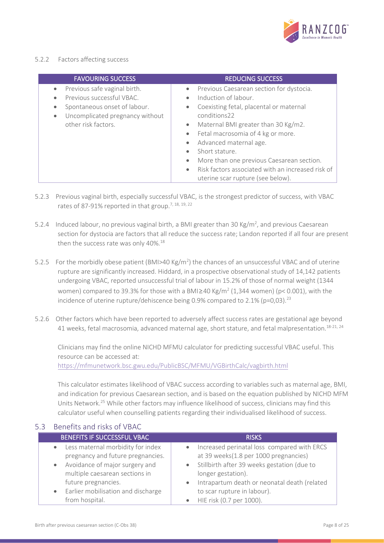

### 5.2.2 Factors affecting success

| <b>FAVOURING SUCCESS</b>                                                                                                                                                                | <b>REDUCING SUCCESS</b>                                                                                                                                                                                                                                                                                                                                                                                                                        |
|-----------------------------------------------------------------------------------------------------------------------------------------------------------------------------------------|------------------------------------------------------------------------------------------------------------------------------------------------------------------------------------------------------------------------------------------------------------------------------------------------------------------------------------------------------------------------------------------------------------------------------------------------|
| Previous safe vaginal birth.<br>۰<br>Previous successful VBAC.<br>٠<br>Spontaneous onset of labour.<br>$\bullet$<br>Uncomplicated pregnancy without<br>$\bullet$<br>other risk factors. | Previous Caesarean section for dystocia.<br>Induction of labour.<br>Coexisting fetal, placental or maternal<br>$\bullet$<br>conditions22<br>Maternal BMI greater than 30 Kg/m2.<br>$\bullet$<br>Fetal macrosomia of 4 kg or more.<br>Advanced maternal age.<br>Short stature.<br>More than one previous Caesarean section.<br>$\bullet$<br>Risk factors associated with an increased risk of<br>$\bullet$<br>uterine scar rupture (see below). |

- 5.2.3 Previous vaginal birth, especially successful VBAC, is the strongest predictor of success, with VBAC rates of 87-91% reported in that group.<sup>[7,](#page-16-5) [18,](#page-16-3) [19,](#page-16-6) [22](#page-16-7)</sup>
- 5.2.4 Induced labour, no previous vaginal birth, a BMI greater than 30 Kg/m<sup>2</sup>, and previous Caesarean section for dystocia are factors that all reduce the success rate; Landon reported if all four are present then the success rate was only 40%.<sup>[18](#page-16-3)</sup>
- 5.2.5 For the morbidly obese patient (BMI>40 Kg/m<sup>2</sup>) the chances of an unsuccessful VBAC and of uterine rupture are significantly increased. Hiddard, in a prospective observational study of 14,142 patients undergoing VBAC, reported unsuccessful trial of labour in 15.2% of those of normal weight (1344 women) compared to 39.3% for those with a BMI $\geq$ 40 Kg/m<sup>2</sup> (1,344 women) (p< 0.001), with the incidence of uterine rupture/dehiscence being 0.9% compared to 2.1% (p=0,03).<sup>[23](#page-16-8)</sup>
- 5.2.6 Other factors which have been reported to adversely affect success rates are gestational age beyond 41 weeks, fetal macrosomia, advanced maternal age, short stature, and fetal malpresentation.<sup>[18-21,](#page-16-3) [24](#page-16-9)</sup>

Clinicians may find the online NICHD MFMU calculator for predicting successful VBAC useful. This resource can be accessed at: <https://mfmunetwork.bsc.gwu.edu/PublicBSC/MFMU/VGBirthCalc/vagbirth.html>

This calculator estimates likelihood of VBAC success according to variables such as maternal age, BMI, and indication for previous Caesarean section, and is based on the equation published by NICHD MFM Units Network.[25](#page-16-10) While other factors may influence likelihood of success, clinicians may find this calculator useful when counselling patients regarding their individualised likelihood of success.

### <span id="page-7-0"></span>5.3 Benefits and risks of VBAC

| BENEFITS IF SUCCESSFUL VBAC          | <b>RISKS</b>                                   |
|--------------------------------------|------------------------------------------------|
| • Less maternal morbidity for index  | • Increased perinatal loss compared with ERCS  |
| pregnancy and future pregnancies.    | at 39 weeks(1.8 per 1000 pregnancies)          |
| • Avoidance of major surgery and     | • Stillbirth after 39 weeks gestation (due to  |
| multiple caesarean sections in       | longer gestation).                             |
| future pregnancies.                  | • Intrapartum death or neonatal death (related |
| • Earlier mobilisation and discharge | to scar rupture in labour).                    |
| from hospital.                       | HIE risk (0.7 per 1000).                       |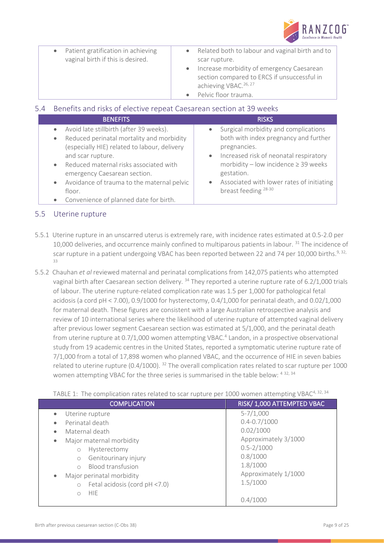

| • Related both to labour and vaginal birth and to<br>Patient gratification in achieving<br>$\bullet$<br>vaginal birth if this is desired.<br>scar rupture.<br>• Increase morbidity of emergency Caesarean |  |
|-----------------------------------------------------------------------------------------------------------------------------------------------------------------------------------------------------------|--|
| section compared to ERCS if unsuccessful in                                                                                                                                                               |  |
| achieving VBAC. <sup>26, 27</sup>                                                                                                                                                                         |  |
| Pelvic floor trauma.                                                                                                                                                                                      |  |

## <span id="page-8-0"></span>5.4 Benefits and risks of elective repeat Caesarean section at 39 weeks

| <b>BENEFITS</b>                              | <b>RISKS</b>                              |
|----------------------------------------------|-------------------------------------------|
| Avoid late stillbirth (after 39 weeks).      | Surgical morbidity and complications      |
| Reduced perinatal mortality and morbidity    | $\bullet$                                 |
| (especially HIE) related to labour, delivery | both with index pregnancy and further     |
| and scar rupture.                            | pregnancies.                              |
| Reduced maternal risks associated with       | • Increased risk of neonatal respiratory  |
| emergency Caesarean section.                 | morbidity - low incidence $\geq$ 39 weeks |
| • Avoidance of trauma to the maternal pelvic | gestation.                                |
| floor.                                       | Associated with lower rates of initiating |
| Convenience of planned date for birth.       | $\bullet$                                 |
| $\bullet$                                    | breast feeding <sup>28-30</sup>           |

## <span id="page-8-1"></span>5.5 Uterine rupture

- 5.5.1 Uterine rupture in an unscarred uterus is extremely rare, with incidence rates estimated at 0.5-2.0 per 10,000 deliveries, and occurrence mainly confined to multiparous patients in labour. <sup>[31](#page-17-0)</sup> The incidence of scar rupture in a patient undergoing VBAC has been reported between 22 and 74 per 10,000 births.<sup>[9,](#page-16-0) 32,</sup> [33](#page-17-2)
- 5.5.2 Chauhan *et al* reviewed maternal and perinatal complications from 142,075 patients who attempted vaginal birth after Caesarean section delivery.<sup>[34](#page-17-3)</sup> They reported a uterine rupture rate of 6.2/1,000 trials of labour. The uterine rupture-related complication rate was 1.5 per 1,000 for pathological fetal acidosis (a cord pH < 7.00), 0.9/1000 for hysterectomy, 0.4/1,000 for perinatal death, and 0.02/1,000 for maternal death. These figures are consistent with a large Australian retrospective analysis and review of 10 international series where the likelihood of uterine rupture of attempted vaginal delivery after previous lower segment Caesarean section was estimated at 5/1,000, and the perinatal death from uterine rupture at 0.7/1,000 women attempting VBAC[.](#page-15-6) 4 Landon, in a prospective observational study from 19 academic centres in the United States, reported a symptomatic uterine rupture rate of 7/1,000 from a total of 17,898 women who planned VBAC, and the occurrence of HIE in seven babies related to uterine rupture (0.4/1000). [32](#page-17-1) The overall complication rates related to scar rupture per 1000 women attempting VBAC for the three series is summarised in the table below: [4](#page-15-6) [32,](#page-17-1) [34](#page-17-3)

| TABLE 1: The complication rates related to scar rupture per 1000 women attempting VBAC <sup>4, 52, 54</sup>                                                                                                                                                                                                            |                                                                                                                                                                    |  |  |  |
|------------------------------------------------------------------------------------------------------------------------------------------------------------------------------------------------------------------------------------------------------------------------------------------------------------------------|--------------------------------------------------------------------------------------------------------------------------------------------------------------------|--|--|--|
| <b>COMPLICATION</b>                                                                                                                                                                                                                                                                                                    | RISK/ 1,000 ATTEMPTED VBAC                                                                                                                                         |  |  |  |
| Uterine rupture<br>۰<br>Perinatal death<br>٠<br>Maternal death<br>٠<br>Major maternal morbidity<br>۰<br>Hysterectomy<br>$\circ$<br>Genitourinary injury<br>$\circ$<br><b>Blood transfusion</b><br>$\bigcirc$<br>Major perinatal morbidity<br>۰<br>Fetal acidosis (cord pH <7.0)<br>$\circ$<br><b>HIE</b><br>$\bigcirc$ | $5 - 7/1,000$<br>$0.4 - 0.7 / 1000$<br>0.02/1000<br>Approximately 3/1000<br>$0.5 - 2/1000$<br>0.8/1000<br>1.8/1000<br>Approximately 1/1000<br>1.5/1000<br>0.4/1000 |  |  |  |
|                                                                                                                                                                                                                                                                                                                        |                                                                                                                                                                    |  |  |  |

TABLE 1: The complication rates related to scar rupture per 1000 women attempting VBAC<sup>[4,](#page-15-6) [32,](#page-17-1) [34](#page-17-3)</sup>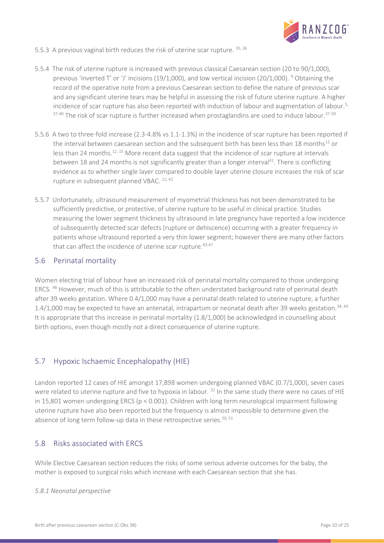

- 5.5.3 A previous vaginal birth reduces the risk of uterine scar rupture. [35,](#page-17-5) [36](#page-17-6)
- 5.5.4 The risk of uterine rupture is increased with previous classical Caesarean section (20 to 90/1,000), previous 'inverted T' or 'J' incisions (1[9](#page-16-0)/1,000), and low vertical incision (20/1,000). <sup>9</sup> Obtaining the record of the operative note from a previous Caesarean section to define the nature of previous scar and any significant uterine tears may be helpful in assessing the risk of future uterine rupture. A higher incidence of scar rupture has also been reported with induction of labour and augmentation of labour.[5,](#page-15-8)   $37-40$  The risk of scar rupture is further increased when prostaglandins are used to induce labour.  $37-39$
- 5.5.6 A two to three-fold increase (2.3-4.8% vs 1.1-1.3%) in the incidence of scar rupture has been reported if the interval between caesarean section and the subsequent birth has been less than 18 months<sup>12</sup> or less than 24 months.[12,](#page-16-1) [15](#page-16-13) More recent data suggest that the incidence of scar rupture at intervals between 18 and 24 months is not significantly greater than a longer interval<sup>[41](#page-17-8)</sup>. There is conflicting evidence as to whether single layer compared to double layer uterine closure increases the risk of scar rupture in subsequent planned VBAC. [12,](#page-16-1) [42](#page-17-9)
- 5.5.7 Unfortunately, ultrasound measurement of myometrial thickness has not been demonstrated to be sufficiently predictive, or protective, of uterine rupture to be useful in clinical practice. Studies measuring the lower segment thickness by ultrasound in late pregnancy have reported a low incidence of subsequently detected scar defects (rupture or dehiscence) occurring with a greater frequency in patients whose ultrasound reported a very thin lower segment; however there are many other factors that can affect the incidence of uterine scar rupture.<sup>[43-47](#page-17-10)</sup>

### <span id="page-9-0"></span>5.6 Perinatal mortality

Women electing trial of labour have an increased risk of perinatal mortality compared to those undergoing ERCS. [48](#page-17-11) However, much of this is attributable to the often understated background rate of perinatal death after 39 weeks gestation. Where 0.4/1,000 may have a perinatal death related to uterine rupture, a further 1.4/1,000 may be expected to have an antenatal, intrapartum or neonatal death after 39 weeks gestation.<sup>[34,](#page-17-3) [49](#page-18-0)</sup> It is appropriate that this increase in perinatal mortality (1.8/1,000) be acknowledged in counselling about birth options, even though mostly not a direct consequence of uterine rupture.

## <span id="page-9-1"></span>5.7 Hypoxic Ischaemic Encephalopathy (HIE)

Landon reported 12 cases of HIE amongst 17,898 women undergoing planned VBAC (0.7/1,000), seven cases were related to uterine rupture and five to hypoxia in labour.<sup>[32](#page-17-1)</sup> In the same study there were no cases of HIE in 15,801 women undergoing ERCS (p < 0.001). Children with long term neurological impairment following uterine rupture have also been reported but the frequency is almost impossible to determine given the absence of long term follow-up data in these retrospective series.<sup>[50,](#page-18-1) [51](#page-18-2)</sup>

### <span id="page-9-2"></span>5.8 Risks associated with ERCS

While Elective Caesarean section reduces the risks of some serious adverse outcomes for the baby, the mother is exposed to surgical risks which increase with each Caesarean section that she has.

### *5.8.1 Neonatal perspective*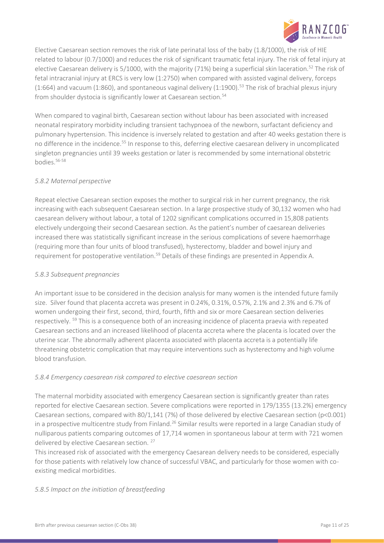

Elective Caesarean section removes the risk of late perinatal loss of the baby (1.8/1000), the risk of HIE related to labour (0.7/1000) and reduces the risk of significant traumatic fetal injury. The risk of fetal injury at elective Caesarean delivery is  $5/1000$ , with the majority (71%) being a superficial skin laceration.<sup>[52](#page-18-3)</sup> The risk of fetal intracranial injury at ERCS is very low (1:2750) when compared with assisted vaginal delivery, forceps  $(1:664)$  and vacuum  $(1:860)$ , and spontaneous vaginal delivery  $(1:1900)$ .<sup>[53](#page-18-4)</sup> The risk of brachial plexus injury from shoulder dystocia is significantly lower at Caesarean section.<sup>[54](#page-18-5)</sup>

When compared to vaginal birth, Caesarean section without labour has been associated with increased neonatal respiratory morbidity including transient tachypnoea of the newborn, surfactant deficiency and pulmonary hypertension. This incidence is inversely related to gestation and after 40 weeks gestation there is no difference in the incidence.[55](#page-18-6) In response to this, deferring elective caesarean delivery in uncomplicated singleton pregnancies until 39 weeks gestation or later is recommended by some international obstetric  $h$ ndies  $56-58$ 

### *5.8.2 Maternal perspective*

Repeat elective Caesarean section exposes the mother to surgical risk in her current pregnancy, the risk increasing with each subsequent Caesarean section. In a large prospective study of 30,132 women who had caesarean delivery without labour, a total of 1202 significant complications occurred in 15,808 patients electively undergoing their second Caesarean section. As the patient's number of caesarean deliveries increased there was statistically significant increase in the serious complications of severe haemorrhage (requiring more than four units of blood transfused), hysterectomy, bladder and bowel injury and requirement for postoperative ventilation.<sup>[59](#page-18-8)</sup> Details of these findings are presented in Appendix A.

### *5.8.3 Subsequent pregnancies*

An important issue to be considered in the decision analysis for many women is the intended future family size. Silver found that placenta accreta was present in 0.24%, 0.31%, 0.57%, 2.1% and 2.3% and 6.7% of women undergoing their first, second, third, fourth, fifth and six or more Caesarean section deliveries respectively. [59](#page-18-8) This is a consequence both of an increasing incidence of placenta praevia with repeated Caesarean sections and an increased likelihood of placenta accreta where the placenta is located over the uterine scar. The abnormally adherent placenta associated with placenta accreta is a potentially life threatening obstetric complication that may require interventions such as hysterectomy and high volume blood transfusion.

### *5.8.4 Emergency caesarean risk compared to elective caesarean section*

The maternal morbidity associated with emergency Caesarean section is significantly greater than rates reported for elective Caesarean section. Severe complications were reported in 179/1355 (13.2%) emergency Caesarean sections, compared with 80/1,141 (7%) of those delivered by elective Caesarean section (p<0.001) in a prospective multicentre study from Finland.<sup>[26](#page-16-11)</sup> Similar results were reported in a large Canadian study of nulliparous patients comparing outcomes of 17,714 women in spontaneous labour at term with 721 women delivered by elective Caesarean section.<sup>[27](#page-16-12)</sup>

This increased risk of associated with the emergency Caesarean delivery needs to be considered, especially for those patients with relatively low chance of successful VBAC, and particularly for those women with coexisting medical morbidities.

### *5.8.5 Impact on the initiation of breastfeeding*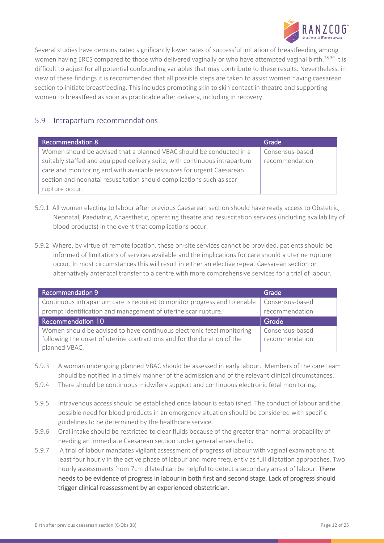

Several studies have demonstrated significantly lower rates of successful initiation of breastfeeding among women having ERCS compared to those who delivered vaginally or who have attempted vaginal birth.<sup>[28-30](#page-17-4)</sup> It is difficult to adjust for all potential confounding variables that may contribute to these results. Nevertheless, in view of these findings it is recommended that all possible steps are taken to assist women having caesarean section to initiate breastfeeding. This includes promoting skin to skin contact in theatre and supporting women to breastfeed as soon as practicable after delivery, including in recovery.

## <span id="page-11-0"></span>5.9 Intrapartum recommendations

| Recommendation 8                                                          | Grade           |
|---------------------------------------------------------------------------|-----------------|
| Women should be advised that a planned VBAC should be conducted in a      | Consensus-based |
| suitably staffed and equipped delivery suite, with continuous intrapartum | recommendation  |
| care and monitoring and with available resources for urgent Caesarean     |                 |
| section and neonatal resuscitation should complications such as scar      |                 |
| rupture occur.                                                            |                 |

- 5.9.1 All women electing to labour after previous Caesarean section should have ready access to Obstetric, Neonatal, Paediatric, Anaesthetic, operating theatre and resuscitation services (including availability of blood products) in the event that complications occur.
- 5.9.2 Where, by virtue of remote location, these on-site services cannot be provided, patients should be informed of limitations of services available and the implications for care should a uterine rupture occur. In most circumstances this will result in either an elective repeat Caesarean section or alternatively antenatal transfer to a centre with more comprehensive services for a trial of labour.

| <b>Recommendation 9</b>                                                   | Grade           |
|---------------------------------------------------------------------------|-----------------|
| Continuous intrapartum care is required to monitor progress and to enable | Consensus-based |
| prompt identification and management of uterine scar rupture.             | recommendation  |
| <b>Recommendation 10</b>                                                  | Grade           |
| Women should be advised to have continuous electronic fetal monitoring    | Consensus-based |
| following the onset of uterine contractions and for the duration of the   | recommendation  |
| planned VBAC.                                                             |                 |

- 5.9.3 A woman undergoing planned VBAC should be assessed in early labour. Members of the care team should be notified in a timely manner of the admission and of the relevant clinical circumstances.
- 5.9.4 There should be continuous midwifery support and continuous electronic fetal monitoring.
- 5.9.5 Intravenous access should be established once labour is established. The conduct of labour and the possible need for blood products in an emergency situation should be considered with specific guidelines to be determined by the healthcare service.
- 5.9.6 Oral intake should be restricted to clear fluids because of the greater than normal probability of needing an immediate Caesarean section under general anaesthetic.
- 5.9.7 A trial of labour mandates vigilant assessment of progress of labour with vaginal examinations at least four hourly in the active phase of labour and more frequently as full dilatation approaches. Two hourly assessments from 7cm dilated can be helpful to detect a secondary arrest of labour. There needs to be evidence of progress in labour in both first and second stage. Lack of progress should trigger clinical reassessment by an experienced obstetrician.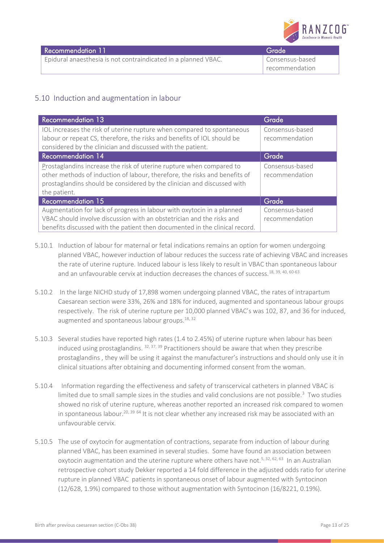

| Recommendation 11                                              | Grade             |
|----------------------------------------------------------------|-------------------|
| Epidural anaesthesia is not contraindicated in a planned VBAC. | l Consensus-based |
|                                                                | recommendation    |

# <span id="page-12-0"></span>5.10 Induction and augmentation in labour

| <b>Recommendation 13</b>                                                                                                                                                                                                                      | Grade                             |
|-----------------------------------------------------------------------------------------------------------------------------------------------------------------------------------------------------------------------------------------------|-----------------------------------|
| IOL increases the risk of uterine rupture when compared to spontaneous<br>labour or repeat CS, therefore, the risks and benefits of IOL should be<br>considered by the clinician and discussed with the patient.                              | Consensus-based<br>recommendation |
| <b>Recommendation 14</b>                                                                                                                                                                                                                      | Grade                             |
| Prostaglandins increase the risk of uterine rupture when compared to<br>other methods of induction of labour, therefore, the risks and benefits of<br>prostaglandins should be considered by the clinician and discussed with<br>the patient. | Consensus-based<br>recommendation |
| <b>Recommendation 15</b>                                                                                                                                                                                                                      | Grade                             |
| Augmentation for lack of progress in labour with oxytocin in a planned<br>VBAC should involve discussion with an obstetrician and the risks and<br>benefits discussed with the patient then documented in the clinical record.                | Consensus-based<br>recommendation |

- 5.10.1 Induction of labour for maternal or fetal indications remains an option for women undergoing planned VBAC, however induction of labour reduces the success rate of achieving VBAC and increases the rate of uterine rupture. Induced labour is less likely to result in VBAC than spontaneous labour and an unfavourable cervix at induction decreases the chances of success.<sup>[18,](#page-16-3) [39,](#page-17-12) [40,](#page-17-13) [60-63](#page-18-9)</sup>
- 5.10.2 In the large NICHD study of 17,898 women undergoing planned VBAC, the rates of intrapartum Caesarean section were 33%, 26% and 18% for induced, augmented and spontaneous labour groups respectively. The risk of uterine rupture per 10,000 planned VBAC's was 102, 87, and 36 for induced, augmented and spontaneous labour groups. $18, 32$  $18, 32$
- 5.10.3 Several studies have reported high rates (1.4 to 2.45%) of uterine rupture when labour has been induced using prostaglandins.  $32, 37, 39$  $32, 37, 39$  $32, 37, 39$  Practitioners should be aware that when they prescribe prostaglandins , they will be using it against the manufacturer's instructions and should only use it in clinical situations after obtaining and documenting informed consent from the woman.
- 5.10.4 Information regarding the effectiveness and safety of transcervical catheters in planned VBAC is limited due to small sample sizes in the studies and valid conclusions are not possible[.](#page-15-5)<sup>3</sup> Two studies showed no risk of uterine rupture, whereas another reported an increased risk compared to women in spontaneous labour.<sup>[20,](#page-16-14) [39](#page-17-12) [64](#page-18-10)</sup> It is not clear whether any increased risk may be associated with an unfavourable cervix.
- 5.10.5 The use of oxytocin for augmentation of contractions, separate from induction of labour during planned VBAC, has been examined in several studies. Some have found an association between oxytocin augmentation and the uterine rupture where others have not.<sup>[5,](#page-15-8) [32,](#page-17-1) [62,](#page-18-11) [63](#page-18-12)</sup> In an Australian retrospective cohort study Dekker reported a 14 fold difference in the adjusted odds ratio for uterine rupture in planned VBAC patients in spontaneous onset of labour augmented with Syntocinon (12/628, 1.9%) compared to those without augmentation with Syntocinon (16/8221, 0.19%).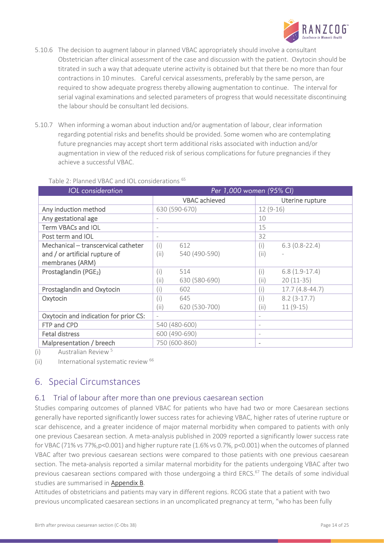

- 5.10.6 The decision to augment labour in planned VBAC appropriately should involve a consultant Obstetrician after clinical assessment of the case and discussion with the patient. Oxytocin should be titrated in such a way that adequate uterine activity is obtained but that there be no more than four contractions in 10 minutes. Careful cervical assessments, preferably by the same person, are required to show adequate progress thereby allowing augmentation to continue. The interval for serial vaginal examinations and selected parameters of progress that would necessitate discontinuing the labour should be consultant led decisions.
- 5.10.7 When informing a woman about induction and/or augmentation of labour, clear information regarding potential risks and benefits should be provided. Some women who are contemplating future pregnancies may accept short term additional risks associated with induction and/or augmentation in view of the reduced risk of serious complications for future pregnancies if they achieve a successful VBAC.

### Table 2: Planned VBAC and IOL considerations [65](#page-18-13)

| <b>IOL</b> consideration              | Per 1,000 women (95% CI)          |                      |                          |                  |
|---------------------------------------|-----------------------------------|----------------------|--------------------------|------------------|
|                                       |                                   | <b>VBAC</b> achieved |                          | Uterine rupture  |
| Any induction method                  |                                   | 630 (590-670)        | $12(9-16)$               |                  |
| Any gestational age                   | ٠                                 |                      | 10                       |                  |
| <b>Term VBACs and IOL</b>             | ٠                                 |                      | 15                       |                  |
| Post term and IOL                     |                                   |                      | 32                       |                  |
| Mechanical - transcervical catheter   | (i)                               | 612                  | (i)                      | $6.3(0.8-22.4)$  |
| and / or artificial rupture of        | (i)                               | 540 (490-590)        | (ii)                     |                  |
| membranes (ARM)                       |                                   |                      |                          |                  |
| Prostaglandin (PGE <sub>2</sub> )     | (i)                               | 514                  | (i)                      | $6.8(1.9-17.4)$  |
|                                       | (i)                               | 630 (580-690)        | (iii)                    | $20(11-35)$      |
| Prostaglandin and Oxytocin            | (i)                               | 602                  | (i)                      | $17.7(4.8-44.7)$ |
| Oxytocin                              | (i)                               | 645                  | (i)                      | $8.2(3-17.7)$    |
|                                       | (ii)                              | 620 (530-700)        | (ii)                     | $11(9-15)$       |
| Oxytocin and indication for prior CS: | $\hspace{1.0cm} - \hspace{1.0cm}$ |                      | $\overline{\phantom{a}}$ |                  |
| FTP and CPD                           |                                   | 540 (480-600)        | $\qquad \qquad -$        |                  |
| <b>Fetal distress</b>                 |                                   | 600 (490-690)        | $\overline{\phantom{a}}$ |                  |
| Malpresentation / breech              |                                   | 750 (600-860)        | $\overline{\phantom{a}}$ |                  |

(i) Australian Review<sup>5</sup>

(ii) International systematic review <sup>[66](#page-18-14)</sup>

# <span id="page-13-0"></span>6. Special Circumstances

## <span id="page-13-1"></span>6.1 Trial of labour after more than one previous caesarean section

Studies comparing outcomes of planned VBAC for patients who have had two or more Caesarean sections generally have reported significantly lower success rates for achieving VBAC, higher rates of uterine rupture or scar dehiscence, and a greater incidence of major maternal morbidity when compared to patients with only one previous Caesarean section. A meta-analysis published in 2009 reported a significantly lower success rate for VBAC (71% vs 77%,p<0.001) and higher rupture rate (1.6% vs 0.7%, p<0.001) when the outcomes of planned VBAC after two previous caesarean sections were compared to those patients with one previous caesarean section. The meta-analysis reported a similar maternal morbidity for the patients undergoing VBAC after two previous caesarean sections compared with those undergoing a third ERCS.<sup>[67](#page-18-15)</sup> The details of some individual studies are summarised in [Appendix B.](#page-20-1)

Attitudes of obstetricians and patients may vary in different regions. RCOG state that a patient with two previous uncomplicated caesarean sections in an uncomplicated pregnancy at term, "who has been fully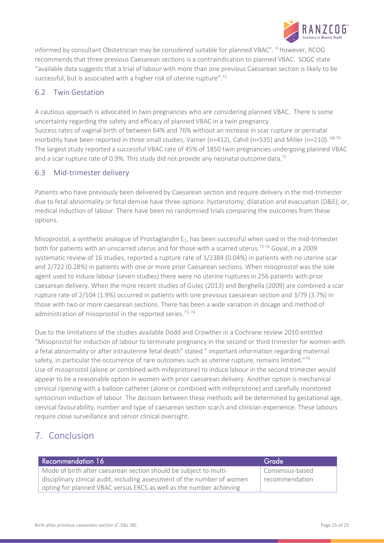

informed by consultant Obstetrician may be considered suitable for planned VBAC". <sup>[9](#page-16-0)</sup> However, RCOG recommends that three previous Caesarean sections is a contraindication to planned VBAC. SOGC state "available data suggests that a trial of labour with more than one previous Caesarean section is likely to be successful, but is associated with a higher risk of uterine rupture".<sup>[11](#page-16-15)</sup>

## <span id="page-14-0"></span>6.2 Twin Gestation

A cautious approach is advocated in twin pregnancies who are considering planned VBAC. There is some uncertainty regarding the safety and efficacy of planned VBAC in a twin pregnancy. Success rates of vaginal birth of between 64% and 76% without an increase in scar rupture or perinatal morbidity have been reported in three small studies; Varner (n=412), Cahill (n=535) and Miller (n=210). [68-70](#page-18-16) The largest study reported a successful VBAC rate of 45% of 1850 twin pregnancies undergoing planned VBAC and a scar rupture rate of 0.9%. This study did not provide any neonatal outcome data. $^{71}$  $^{71}$  $^{71}$ 

## <span id="page-14-1"></span>6.3 Mid-trimester delivery

Patients who have previously been delivered by Caesarean section and require delivery in the mid-trimester due to fetal abnormality or fetal demise have three options: hysterotomy; dilatation and evacuation (D&E); or, medical induction of labour. There have been no randomised trials comparing the outcomes from these options.

Misoprostol, a synthetic analogue of Prostaglandin  $E_1$ , has been successful when used in the mid-trimester both for patients with an unscarred uterus and for those with a scarred uterus.<sup>[72-74](#page-18-18)</sup> Goyal, in a 2009 systematic review of 16 studies, reported a rupture rate of 1/2384 (0.04%) in patients with no uterine scar and 2/722 (0.28%) in patients with one or more prior Caesarean sections. When misoprostol was the sole agent used to induce labour (seven studies) there were no uterine ruptures in 256 patients with prior caesarean delivery. When the more recent studies of Gulec (2013) and Berghella (2009) are combined a scar rupture rate of 2/104 (1.9%) occurred in patients with one previous caesarean section and 3/79 (3.7%) in those with two or more caesarean sections. There has been a wide variation in dosage and method of administration of misoprostol in the reported series.<sup>[73,](#page-19-0) [74](#page-19-1)</sup>

Due to the limitations of the studies available Dodd and Crowther in a Cochrane review 2010 entitled "Misoprostol for induction of labour to terminate pregnancy in the second or third trimester for women with a fetal abnormality or after intrauterine fetal death" stated " important information regarding maternal safety, in particular the occurrence of rare outcomes such as uterine rupture, remains limited."<sup>[75](#page-19-2)</sup> Use of misoprostol (alone or combined with mifepristone) to induce labour in the second trimester would appear to be a reasonable option in women with prior caesarean delivery. Another option is mechanical cervical ripening with a balloon catheter (alone or combined with mifepristone) and carefully monitored syntocinon induction of labour. The decision between these methods will be determined by gestational age, cervical favourability, number and type of caesarean section scar/s and clinician experience. These labours require close surveillance and senior clinical oversight.

# <span id="page-14-2"></span>7. Conclusion

| Recommendation 16                                                        | Grade           |
|--------------------------------------------------------------------------|-----------------|
| Mode of birth after caesarean section should be subject to multi-        | Consensus-based |
| disciplinary clinical audit, including assessment of the number of women | recommendation  |
| opting for planned VBAC versus ERCS as well as the number achieving      |                 |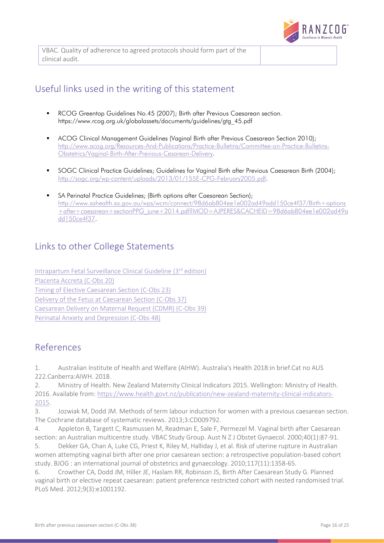

VBAC. Quality of adherence to agreed protocols should form part of the clinical audit.

# <span id="page-15-0"></span>Useful links used in the writing of this statement

- **RCOG Greentop Guidelines No.45 (2007); Birth after Previous Caesarean section.** [https://www.rcog.org.uk/globalassets/documents/guidelines/gtg\\_45.pdf](https://www.rcog.org.uk/globalassets/documents/guidelines/gtg_45.pdf)
- ACOG Clinical Management Guidelines (Vaginal Birth after Previous Caesarean Section 2010); [http://www.acog.org/Resources-And-Publications/Practice-Bulletins/Committee-on-Practice-Bulletins-](http://www.acog.org/Resources-And-Publications/Practice-Bulletins/Committee-on-Practice-Bulletins-Obstetrics/Vaginal-Birth-After-Previous-Cesarean-Delivery)[Obstetrics/Vaginal-Birth-After-Previous-Cesarean-Delivery.](http://www.acog.org/Resources-And-Publications/Practice-Bulletins/Committee-on-Practice-Bulletins-Obstetrics/Vaginal-Birth-After-Previous-Cesarean-Delivery)
- SOGC Clinical Practice Guidelines; Guidelines for Vaginal Birth after Previous Caesarean Birth (2004); [http://sogc.org/wp-content/uploads/2013/01/155E-CPG-February2005.pdf.](http://sogc.org/wp-content/uploads/2013/01/155E-CPG-February2005.pdf)
- SA Perinatal Practice Guidelines; (Birth options after Caesarean Section); [http://www.sahealth.sa.gov.au/wps/wcm/connect/98d6ab804ee1e002ad49add150ce4f37/Birth+options](http://www.sahealth.sa.gov.au/wps/wcm/connect/98d6ab804ee1e002ad49add150ce4f37/Birth+options+after+caesarean+sectionPPG_june+2014.pdf?MOD=AJPERES&CACHEID=98d6ab804ee1e002ad49add150ce4f37) [+after+caesarean+sectionPPG\\_june+2014.pdf?MOD=AJPERES&CACHEID=98d6ab804ee1e002ad49a](http://www.sahealth.sa.gov.au/wps/wcm/connect/98d6ab804ee1e002ad49add150ce4f37/Birth+options+after+caesarean+sectionPPG_june+2014.pdf?MOD=AJPERES&CACHEID=98d6ab804ee1e002ad49add150ce4f37) [dd150ce4f37.](http://www.sahealth.sa.gov.au/wps/wcm/connect/98d6ab804ee1e002ad49add150ce4f37/Birth+options+after+caesarean+sectionPPG_june+2014.pdf?MOD=AJPERES&CACHEID=98d6ab804ee1e002ad49add150ce4f37)

# <span id="page-15-1"></span>Links to other College Statements

[Intrapartum Fetal Surveillance Clinical Guideline \(3](https://www.ranzcog.edu.au/RANZCOG_SITE/media/RANZCOG-MEDIA/Women%27s%20Health/Statement%20and%20guidelines/Clinical-Obstetrics/Intrapartum-Fetal-Surveillance-Guideline-Third-edition-Aug-2014.pdf?ext=.pdf)rd edition) [Placenta Accreta \(C-Obs 20\)](https://www.ranzcog.edu.au/RANZCOG_SITE/media/RANZCOG-MEDIA/Women%27s%20Health/Statement%20and%20guidelines/Clinical-Obstetrics/Placenta-Accreta-(C-Obs-20)-Review-March-2014,-Amended-November-2015.pdf?ext=.pdf) [Timing of Elective Caesarean Section \(C-Obs 23\)](https://www.ranzcog.edu.au/RANZCOG_SITE/media/RANZCOG-MEDIA/Women%27s%20Health/Statement%20and%20guidelines/Clinical-Obstetrics/Timing-of-elective-caesarean-section-(C-Obs-23)-Review-November-2014.pdf?ext=.pdf) [Delivery of the Fetus at Caesarean Section \(C-Obs 37\)](https://www.ranzcog.edu.au/RANZCOG_SITE/media/RANZCOG-MEDIA/Women%27s%20Health/Statement%20and%20guidelines/Clinical-Obstetrics/Delivery-of-fetus-at-caesarean-section-(C-Obs-37)-Review-November-2016_1.pdf?ext=.pdf) [Caesarean Delivery on Maternal Request \(CDMR\) \(C-Obs 39\)](https://www.ranzcog.edu.au/RANZCOG_SITE/media/RANZCOG-MEDIA/Women%27s%20Health/Statement%20and%20guidelines/Clinical-Obstetrics/Caesarean-Delivery-on-Maternal-Request-(C-Obs-39)-Review-Nov13.pdf?ext=.pdf) [Perinatal Anxiety and Depression \(C-Obs 48\)](https://www.ranzcog.edu.au/RANZCOG_SITE/media/RANZCOG-MEDIA/Women%27s%20Health/Statement%20and%20guidelines/Clinical-Obstetrics/Perinatal-Anxiety-and-Depression-(C-Obs-48)-Review-March-2015.pdf?ext=.pdf)

# <span id="page-15-2"></span>References

<span id="page-15-3"></span>1. Australian Institute of Health and Welfare (AIHW). Australia's Health 2018:in brief.Cat no AUS 222.Canberra:AIWH. 2018.

<span id="page-15-4"></span>2. Ministry of Health. New Zealand Maternity Clinical Indicators 2015. Wellington: Ministry of Health. 2016. Available from: [https://www.health.govt.nz/publication/new-zealand-maternity-clinical-indicators-](https://www.health.govt.nz/publication/new-zealand-maternity-clinical-indicators-2015)[2015.](https://www.health.govt.nz/publication/new-zealand-maternity-clinical-indicators-2015)

<span id="page-15-5"></span>3. Jozwiak M, Dodd JM. Methods of term labour induction for women with a previous caesarean section. The Cochrane database of systematic reviews. 2013;3:CD009792.

<span id="page-15-6"></span>4. Appleton B, Targett C, Rasmussen M, Readman E, Sale F, Permezel M. Vaginal birth after Caesarean section: an Australian multicentre study. VBAC Study Group. Aust N Z J Obstet Gynaecol. 2000;40(1):87-91.

<span id="page-15-8"></span>5. Dekker GA, Chan A, Luke CG, Priest K, Riley M, Halliday J, et al. Risk of uterine rupture in Australian women attempting vaginal birth after one prior caesarean section: a retrospective population-based cohort study. BJOG : an international journal of obstetrics and gynaecology. 2010;117(11):1358-65.

<span id="page-15-7"></span>6. Crowther CA, Dodd JM, Hiller JE, Haslam RR, Robinson JS, Birth After Caesarean Study G. Planned vaginal birth or elective repeat caesarean: patient preference restricted cohort with nested randomised trial. PLoS Med. 2012;9(3):e1001192.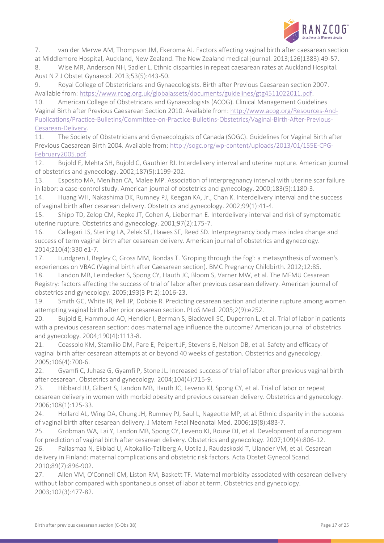

<span id="page-16-5"></span>7. van der Merwe AM, Thompson JM, Ekeroma AJ. Factors affecting vaginal birth after caesarean section at Middlemore Hospital, Auckland, New Zealand. The New Zealand medical journal. 2013;126(1383):49-57. 8. Wise MR, Anderson NH, Sadler L. Ethnic disparities in repeat caesarean rates at Auckland Hospital.

Aust N Z J Obstet Gynaecol. 2013;53(5):443-50.

<span id="page-16-0"></span>9. Royal College of Obstetricians and Gynaecologists. Birth after Previous Caesarean section 2007. Available from: [https://www.rcog.org.uk/globalassets/documents/guidelines/gtg4511022011.pdf.](https://www.rcog.org.uk/globalassets/documents/guidelines/gtg4511022011.pdf)

<span id="page-16-4"></span>10. American College of Obstetricans and Gynaecologists (ACOG). Clinical Management Guidelines Vaginal Birth after Previous Caesarean Section 2010. Available from: [http://www.acog.org/Resources-And-](http://www.acog.org/Resources-And-Publications/Practice-Bulletins/Committee-on-Practice-Bulletins-Obstetrics/Vaginal-Birth-After-Previous-Cesarean-Delivery)[Publications/Practice-Bulletins/Committee-on-Practice-Bulletins-Obstetrics/Vaginal-Birth-After-Previous-](http://www.acog.org/Resources-And-Publications/Practice-Bulletins/Committee-on-Practice-Bulletins-Obstetrics/Vaginal-Birth-After-Previous-Cesarean-Delivery)[Cesarean-Delivery.](http://www.acog.org/Resources-And-Publications/Practice-Bulletins/Committee-on-Practice-Bulletins-Obstetrics/Vaginal-Birth-After-Previous-Cesarean-Delivery)

<span id="page-16-15"></span>11. The Society of Obstetricians and Gynaecologists of Canada (SOGC). Guidelines for Vaginal Birth after Previous Caesarean Birth 2004. Available from[: http://sogc.org/wp-content/uploads/2013/01/155E-CPG-](http://sogc.org/wp-content/uploads/2013/01/155E-CPG-February2005.pdf)[February2005.pdf.](http://sogc.org/wp-content/uploads/2013/01/155E-CPG-February2005.pdf)

<span id="page-16-1"></span>12. Bujold E, Mehta SH, Bujold C, Gauthier RJ. Interdelivery interval and uterine rupture. American journal of obstetrics and gynecology. 2002;187(5):1199-202.

13. Esposito MA, Menihan CA, Malee MP. Association of interpregnancy interval with uterine scar failure in labor: a case-control study. American journal of obstetrics and gynecology. 2000;183(5):1180-3.

14. Huang WH, Nakashima DK, Rumney PJ, Keegan KA, Jr., Chan K. Interdelivery interval and the success of vaginal birth after cesarean delivery. Obstetrics and gynecology. 2002;99(1):41-4.

<span id="page-16-13"></span>15. Shipp TD, Zelop CM, Repke JT, Cohen A, Lieberman E. Interdelivery interval and risk of symptomatic uterine rupture. Obstetrics and gynecology. 2001;97(2):175-7.

16. Callegari LS, Sterling LA, Zelek ST, Hawes SE, Reed SD. Interpregnancy body mass index change and success of term vaginal birth after cesarean delivery. American journal of obstetrics and gynecology. 2014;210(4):330 e1-7.

<span id="page-16-2"></span>17. Lundgren I, Begley C, Gross MM, Bondas T. 'Groping through the fog': a metasynthesis of women's experiences on VBAC (Vaginal birth after Caesarean section). BMC Pregnancy Childbirth. 2012;12:85.

<span id="page-16-3"></span>18. Landon MB, Leindecker S, Spong CY, Hauth JC, Bloom S, Varner MW, et al. The MFMU Cesarean Registry: factors affecting the success of trial of labor after previous cesarean delivery. American journal of obstetrics and gynecology. 2005;193(3 Pt 2):1016-23.

<span id="page-16-6"></span>19. Smith GC, White IR, Pell JP, Dobbie R. Predicting cesarean section and uterine rupture among women attempting vaginal birth after prior cesarean section. PLoS Med. 2005;2(9):e252.

<span id="page-16-14"></span>20. Bujold E, Hammoud AO, Hendler I, Berman S, Blackwell SC, Duperron L, et al. Trial of labor in patients with a previous cesarean section: does maternal age influence the outcome? American journal of obstetrics and gynecology. 2004;190(4):1113-8.

21. Coassolo KM, Stamilio DM, Pare E, Peipert JF, Stevens E, Nelson DB, et al. Safety and efficacy of vaginal birth after cesarean attempts at or beyond 40 weeks of gestation. Obstetrics and gynecology. 2005;106(4):700-6.

<span id="page-16-7"></span>22. Gyamfi C, Juhasz G, Gyamfi P, Stone JL. Increased success of trial of labor after previous vaginal birth after cesarean. Obstetrics and gynecology. 2004;104(4):715-9.

<span id="page-16-8"></span>23. Hibbard JU, Gilbert S, Landon MB, Hauth JC, Leveno KJ, Spong CY, et al. Trial of labor or repeat cesarean delivery in women with morbid obesity and previous cesarean delivery. Obstetrics and gynecology. 2006;108(1):125-33.

<span id="page-16-9"></span>24. Hollard AL, Wing DA, Chung JH, Rumney PJ, Saul L, Nageotte MP, et al. Ethnic disparity in the success of vaginal birth after cesarean delivery. J Matern Fetal Neonatal Med. 2006;19(8):483-7.

<span id="page-16-10"></span>25. Grobman WA, Lai Y, Landon MB, Spong CY, Leveno KJ, Rouse DJ, et al. Development of a nomogram for prediction of vaginal birth after cesarean delivery. Obstetrics and gynecology. 2007;109(4):806-12.

<span id="page-16-11"></span>26. Pallasmaa N, Ekblad U, Aitokallio-Tallberg A, Uotila J, Raudaskoski T, Ulander VM, et al. Cesarean delivery in Finland: maternal complications and obstetric risk factors. Acta Obstet Gynecol Scand. 2010;89(7):896-902.

<span id="page-16-12"></span>27. Allen VM, O'Connell CM, Liston RM, Baskett TF. Maternal morbidity associated with cesarean delivery without labor compared with spontaneous onset of labor at term. Obstetrics and gynecology. 2003;102(3):477-82.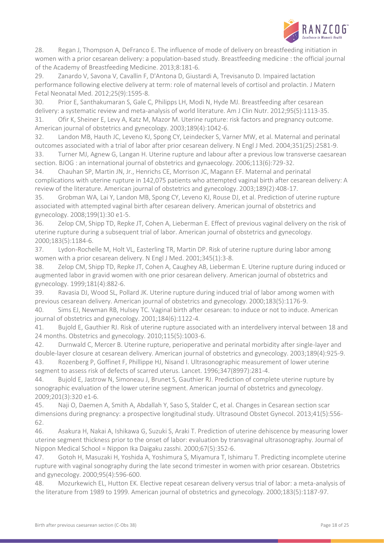

<span id="page-17-4"></span>28. Regan J, Thompson A, DeFranco E. The influence of mode of delivery on breastfeeding initiation in women with a prior cesarean delivery: a population-based study. Breastfeeding medicine : the official journal of the Academy of Breastfeeding Medicine. 2013;8:181-6.

29. Zanardo V, Savona V, Cavallin F, D'Antona D, Giustardi A, Trevisanuto D. Impaired lactation performance following elective delivery at term: role of maternal levels of cortisol and prolactin. J Matern Fetal Neonatal Med. 2012;25(9):1595-8.

30. Prior E, Santhakumaran S, Gale C, Philipps LH, Modi N, Hyde MJ. Breastfeeding after cesarean delivery: a systematic review and meta-analysis of world literature. Am J Clin Nutr. 2012;95(5):1113-35.

<span id="page-17-0"></span>31. Ofir K, Sheiner E, Levy A, Katz M, Mazor M. Uterine rupture: risk factors and pregnancy outcome. American journal of obstetrics and gynecology. 2003;189(4):1042-6.

<span id="page-17-1"></span>32. Landon MB, Hauth JC, Leveno KJ, Spong CY, Leindecker S, Varner MW, et al. Maternal and perinatal outcomes associated with a trial of labor after prior cesarean delivery. N Engl J Med. 2004;351(25):2581-9. 33. Turner MJ, Agnew G, Langan H. Uterine rupture and labour after a previous low transverse caesarean

<span id="page-17-2"></span>section. BJOG : an international journal of obstetrics and gynaecology. 2006;113(6):729-32.

<span id="page-17-3"></span>34. Chauhan SP, Martin JN, Jr., Henrichs CE, Morrison JC, Magann EF. Maternal and perinatal complications with uterine rupture in 142,075 patients who attempted vaginal birth after cesarean delivery: A review of the literature. American journal of obstetrics and gynecology. 2003;189(2):408-17.

<span id="page-17-5"></span>35. Grobman WA, Lai Y, Landon MB, Spong CY, Leveno KJ, Rouse DJ, et al. Prediction of uterine rupture associated with attempted vaginal birth after cesarean delivery. American journal of obstetrics and gynecology. 2008;199(1):30 e1-5.

<span id="page-17-6"></span>36. Zelop CM, Shipp TD, Repke JT, Cohen A, Lieberman E. Effect of previous vaginal delivery on the risk of uterine rupture during a subsequent trial of labor. American journal of obstetrics and gynecology. 2000;183(5):1184-6.

<span id="page-17-7"></span>37. Lydon-Rochelle M, Holt VL, Easterling TR, Martin DP. Risk of uterine rupture during labor among women with a prior cesarean delivery. N Engl J Med. 2001;345(1):3-8.

38. Zelop CM, Shipp TD, Repke JT, Cohen A, Caughey AB, Lieberman E. Uterine rupture during induced or augmented labor in gravid women with one prior cesarean delivery. American journal of obstetrics and gynecology. 1999;181(4):882-6.

<span id="page-17-12"></span>39. Ravasia DJ, Wood SL, Pollard JK. Uterine rupture during induced trial of labor among women with previous cesarean delivery. American journal of obstetrics and gynecology. 2000;183(5):1176-9.

<span id="page-17-13"></span>40. Sims EJ, Newman RB, Hulsey TC. Vaginal birth after cesarean: to induce or not to induce. American journal of obstetrics and gynecology. 2001;184(6):1122-4.

<span id="page-17-8"></span>41. Bujold E, Gauthier RJ. Risk of uterine rupture associated with an interdelivery interval between 18 and 24 months. Obstetrics and gynecology. 2010;115(5):1003-6.

<span id="page-17-9"></span>42. Durnwald C, Mercer B. Uterine rupture, perioperative and perinatal morbidity after single-layer and double-layer closure at cesarean delivery. American journal of obstetrics and gynecology. 2003;189(4):925-9. 43. Rozenberg P, Goffinet F, Phillippe HJ, Nisand I. Ultrasonographic measurement of lower uterine

<span id="page-17-10"></span>segment to assess risk of defects of scarred uterus. Lancet. 1996;347(8997):281-4.

44. Bujold E, Jastrow N, Simoneau J, Brunet S, Gauthier RJ. Prediction of complete uterine rupture by sonographic evaluation of the lower uterine segment. American journal of obstetrics and gynecology. 2009;201(3):320 e1-6.

45. Naji O, Daemen A, Smith A, Abdallah Y, Saso S, Stalder C, et al. Changes in Cesarean section scar dimensions during pregnancy: a prospective longitudinal study. Ultrasound Obstet Gynecol. 2013;41(5):556- 62.

46. Asakura H, Nakai A, Ishikawa G, Suzuki S, Araki T. Prediction of uterine dehiscence by measuring lower uterine segment thickness prior to the onset of labor: evaluation by transvaginal ultrasonography. Journal of Nippon Medical School = Nippon Ika Daigaku zasshi. 2000;67(5):352-6.

47. Gotoh H, Masuzaki H, Yoshida A, Yoshimura S, Miyamura T, Ishimaru T. Predicting incomplete uterine rupture with vaginal sonography during the late second trimester in women with prior cesarean. Obstetrics and gynecology. 2000;95(4):596-600.

<span id="page-17-11"></span>48. Mozurkewich EL, Hutton EK. Elective repeat cesarean delivery versus trial of labor: a meta-analysis of the literature from 1989 to 1999. American journal of obstetrics and gynecology. 2000;183(5):1187-97.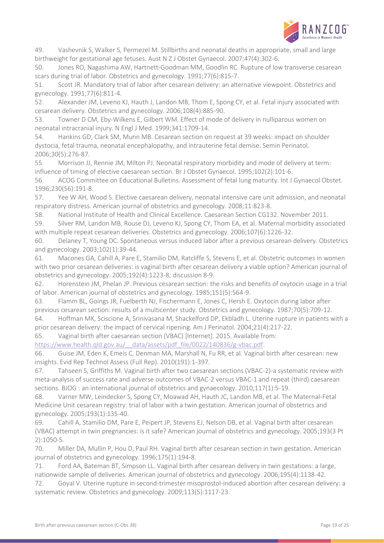

<span id="page-18-0"></span>49. Vashevnik S, Walker S, Permezel M. Stillbirths and neonatal deaths in appropriate, small and large birthweight for gestational age fetuses. Aust N Z J Obstet Gynaecol. 2007;47(4):302-6.

<span id="page-18-1"></span>50. Jones RO, Nagashima AW, Hartnett-Goodman MM, Goodlin RC. Rupture of low transverse cesarean scars during trial of labor. Obstetrics and gynecology. 1991;77(6):815-7.

<span id="page-18-2"></span>51. Scott JR. Mandatory trial of labor after cesarean delivery: an alternative viewpoint. Obstetrics and gynecology. 1991;77(6):811-4.

<span id="page-18-3"></span>52. Alexander JM, Leveno KJ, Hauth J, Landon MB, Thom E, Spong CY, et al. Fetal injury associated with cesarean delivery. Obstetrics and gynecology. 2006;108(4):885-90.

<span id="page-18-4"></span>53. Towner D CM, Eby-Wilkens E, Gilbert WM. Effect of mode of delivery in nulliparous women on neonatal intracranial injury. N Engl J Med. 1999;341:1709-14.

<span id="page-18-5"></span>54. Hankins GD, Clark SM, Munn MB. Cesarean section on request at 39 weeks: impact on shoulder dystocia, fetal trauma, neonatal encephalopathy, and intrauterine fetal demise. Semin Perinatol. 2006;30(5):276-87.

<span id="page-18-6"></span>55. Morrison JJ, Rennie JM, Milton PJ. Neonatal respiratory morbidity and mode of delivery at term: influence of timing of elective caesarean section. Br J Obstet Gynaecol. 1995;102(2):101-6.

<span id="page-18-7"></span>56. ACOG Committee on Educational Bulletins. Assessment of fetal lung maturity. Int J Gynaecol Obstet. 1996;230(56):191-8.

57. Yee W AH, Wood S. Elective caesarean delivery, neonatal intensive care unit admission, and neonatal respiratory distress. American journal of obstetrics and gynecology. 2008;11:823-8.

58. National Institute of Health and Clinical Excellence. Caesarean Section CG132. November 2011.

<span id="page-18-8"></span>59. Silver RM, Landon MB, Rouse DJ, Leveno KJ, Spong CY, Thom EA, et al. Maternal morbidity associated with multiple repeat cesarean deliveries. Obstetrics and gynecology. 2006;107(6):1226-32.

<span id="page-18-9"></span>60. Delaney T, Young DC. Spontaneous versus induced labor after a previous cesarean delivery. Obstetrics and gynecology. 2003;102(1):39-44.

61. Macones GA, Cahill A, Pare E, Stamilio DM, Ratcliffe S, Stevens E, et al. Obstetric outcomes in women with two prior cesarean deliveries: is vaginal birth after cesarean delivery a viable option? American journal of obstetrics and gynecology. 2005;192(4):1223-8; discussion 8-9.

<span id="page-18-11"></span>62. Horenstein JM, Phelan JP. Previous cesarean section: the risks and benefits of oxytocin usage in a trial of labor. American journal of obstetrics and gynecology. 1985;151(5):564-9.

<span id="page-18-12"></span>63. Flamm BL, Goings JR, Fuelberth NJ, Fischermann E, Jones C, Hersh E. Oxytocin during labor after previous cesarean section: results of a multicenter study. Obstetrics and gynecology. 1987;70(5):709-12.

<span id="page-18-10"></span>64. Hoffman MK, Sciscione A, Srinivasana M, Shackelford DP, Ekbladh L. Uterine rupture in patients with a prior cesarean delivery: the impact of cervical ripening. Am J Perinatol. 2004;21(4):217-22.

<span id="page-18-13"></span>65. Vaginal birth after caesarean section (VBAC) [Internet]. 2015. Available from:

[https://www.health.qld.gov.au/\\_\\_data/assets/pdf\\_file/0022/140836/g-vbac.pdf.](https://www.health.qld.gov.au/__data/assets/pdf_file/0022/140836/g-vbac.pdf)

<span id="page-18-14"></span>66. Guise JM, Eden K, Emeis C, Denman MA, Marshall N, Fu RR, et al. Vaginal birth after cesarean: new insights. Evid Rep Technol Assess (Full Rep). 2010(191):1-397.

<span id="page-18-15"></span>67. Tahseen S, Griffiths M. Vaginal birth after two caesarean sections (VBAC-2)-a systematic review with meta-analysis of success rate and adverse outcomes of VBAC-2 versus VBAC-1 and repeat (third) caesarean sections. BJOG : an international journal of obstetrics and gynaecology. 2010;117(1):5-19.

<span id="page-18-16"></span>68. Varner MW, Leindecker S, Spong CY, Moawad AH, Hauth JC, Landon MB, et al. The Maternal-Fetal Medicine Unit cesarean registry: trial of labor with a twin gestation. American journal of obstetrics and gynecology. 2005;193(1):135-40.

69. Cahill A, Stamilio DM, Pare E, Peipert JP, Stevens EJ, Nelson DB, et al. Vaginal birth after cesarean (VBAC) attempt in twin pregnancies: is it safe? American journal of obstetrics and gynecology. 2005;193(3 Pt 2):1050-5.

70. Miller DA, Mullin P, Hou D, Paul RH. Vaginal birth after cesarean section in twin gestation. American journal of obstetrics and gynecology. 1996;175(1):194-8.

<span id="page-18-17"></span>71. Ford AA, Bateman BT, Simpson LL. Vaginal birth after cesarean delivery in twin gestations: a large, nationwide sample of deliveries. American journal of obstetrics and gynecology. 2006;195(4):1138-42.

<span id="page-18-18"></span>72. Goyal V. Uterine rupture in second-trimester misoprostol-induced abortion after cesarean delivery: a systematic review. Obstetrics and gynecology. 2009;113(5):1117-23.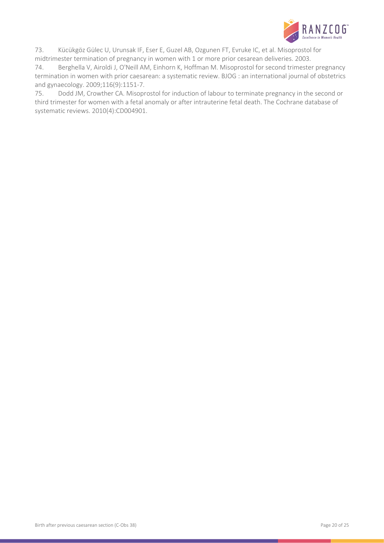

<span id="page-19-0"></span>73. Kücükgöz Gülec U, Urunsak IF, Eser E, Guzel AB, Ozgunen FT, Evruke IC, et al. Misoprostol for midtrimester termination of pregnancy in women with 1 or more prior cesarean deliveries. 2003.

<span id="page-19-1"></span>74. Berghella V, Airoldi J, O'Neill AM, Einhorn K, Hoffman M. Misoprostol for second trimester pregnancy termination in women with prior caesarean: a systematic review. BJOG : an international journal of obstetrics and gynaecology. 2009;116(9):1151-7.

<span id="page-19-2"></span>75. Dodd JM, Crowther CA. Misoprostol for induction of labour to terminate pregnancy in the second or third trimester for women with a fetal anomaly or after intrauterine fetal death. The Cochrane database of systematic reviews. 2010(4):CD004901.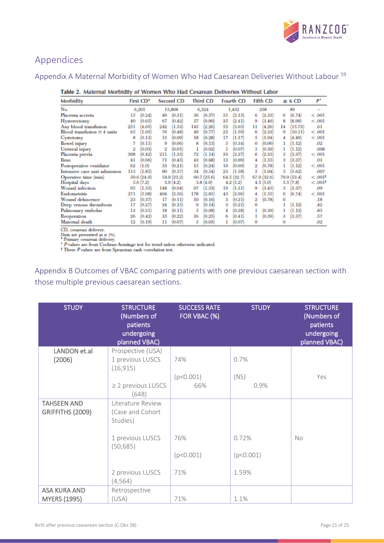

# <span id="page-20-0"></span>Appendices

# <span id="page-20-1"></span>Appendix A Maternal Morbidity of Women Who Had Caesarean Deliveries Without Labour <sup>[59](#page-18-8)</sup>

| Morbidity                        | First CD*     | Second CD     | Third CD      | Fourth CD      | Fifth CD     | $\geq 6$ CD   | Р <sup>t</sup> |
|----------------------------------|---------------|---------------|---------------|----------------|--------------|---------------|----------------|
| No.                              | 6,201         | 15,808        | 6,324         | 1,452          | 258          | 89            |                |
| Placenta accreta                 | (0.24)<br>15  | (0.31)<br>49  | (0.57)<br>36  | (2.13)<br>31   | (2.33)<br>6  | (6.74)<br>6   | < .001         |
| Hysterectomy                     | (0.65)<br>40  | 67<br>(0.42)  | 57<br>(0.90)  | 35<br>(2.41)   | (3.49)<br>9  | (8.99)<br>8   | < .001         |
| Any blood transfusion            | 251<br>4.05   | (1.53)<br>242 | 143<br>(2.26) | 53<br>(3.65)   | (4.26)<br>11 | (15.73)<br>14 | .61            |
| Blood transfusion $\geq 4$ units | 1.05<br>65    | 76<br>(0.48)  | 49<br>(0.77)  | 23<br>1.59)    | (2.33)<br>6  | (10.11)<br>9  | < .001         |
| Cystotomy                        | (0.13)<br>8   | [0.09]<br>15  | 18<br>(0.28)  | 17<br>1.17     | (1.94)<br>5  | (4.49)        | < .001         |
| <b>Bowel</b> injury              | (0.11)        | (0.06)<br>9   | (0.13)<br>8   | (0.34)<br>5    | (0.00)<br>o  | (1.12)        | .02            |
| Ureteral injury                  | (0.03)<br>2   | 2<br>[0.01]   | (0.02)        | (0.07)         | (0.39)       | (1.12)        | .008           |
| Placenta previa                  | (6.42)<br>398 | 211<br>(1.33) | 1.14<br>72    | (2.27)<br>33   | (2.33)<br>6  | (3.37)<br>3   | < .001         |
| <b>Ileus</b>                     | 41<br>(0.66)  | 71<br>(0.45)  | (0.68)<br>43  | 13<br>(0.90)   | (1.55)       | (3.37)<br>3   | .01            |
| Postoperative ventilator         | 1.0<br>62     | (0.21)<br>33  | 15<br>(0.24)  | (0.69)<br>10   | (0.78)       | (1.12)        | < .001         |
| Intensive care unit admission    | 115<br>(1.85) | (0.57)<br>90  | 34<br>(0.54)  | 23<br>(1.58)   | (1.94)<br>5  | (5.62)<br>5   | .007           |
| Operative time (min)             | 50.6 (24.0)   | 54.9 (23.2)   | 60.7(25.6)    | 64.5<br>(32.7) | 67.9 (32.6)  | 79.9 (53.4)   | $< .001*$      |
| Hospital days                    | 5.6(7.2)      | 3.9(4.2)      | 3.8(4.0)      | 4.2(5.2)       | 4.1<br>(5.0) | 5.5(7.8)      | $-.001$        |
| Wound infection                  | 1.53)<br>95   | (0.94)<br>148 | 1.53)<br>97   | (1.31)<br>19   | (3.45)<br>9  | (3.37)<br>з   | .09            |
| Endometritis                     | 5.98<br>371   | 404<br>(2.56) | 178<br>(2.81) | 43<br>(2.96)   | (1.55)<br>4  | (6.74)<br>6   | $-.001$        |
| Wound dehiscence                 | (0.37)<br>23  | (0.11)<br>17  | 10<br>(0.16)  | 3<br>(0.21)    | (0.78)<br>2  | o             | .18            |
| Deep venous thrombosis           | 17<br>(0.27)  | (0.15)<br>24  | (0.14)<br>9   | (0.21)<br>3    | o            | (1.12)        | A2             |
| Pulmonary embolus                | 13<br>(0.21)  | (0.11)<br>18  | 5<br>(0.08)   | (0.28)<br>4    | (0.39)       | (1.12)        | .85            |
| Reoperation                      | (0.42)<br>26  | (0.22)<br>35  | 16<br>(0.25)  | (0.41)<br>6    | (0.39)       | (3.37)<br>з   | .57            |
| Maternal death                   | (0.19)<br>12  | 11<br>(0.07)  | 3<br>(0.05)   | (0.07)         | 0            | o             | .02            |
| CD common defining               |               |               |               |                |              |               |                |

#### Table 2. Maternal Morbidity of Women Who Had Cesarean Deliveries Without Labor

CD, cesarean delivery.

Cut, cosmour centred as n (%).<br>
Data are presented as n (%).<br>
\* Primary cesarean delivery.<br>
\* P values are from Cochran-Armitage test for trend unless otherwise indicated.<br>
\* These P values are from Spearman rank correlati

<span id="page-20-2"></span>Appendix B Outcomes of VBAC comparing patients with one previous caesarean section with those multiple previous caesarean sections.

| <b>STUDY</b>                               | <b>STRUCTURE</b><br>(Numbers of<br>patients<br>undergoing<br>planned VBAC) | <b>SUCCESS RATE</b><br>FOR VBAC (%) | <b>STUDY</b> | <b>STRUCTURE</b><br>(Numbers of<br>patients<br>undergoing<br>planned VBAC) |
|--------------------------------------------|----------------------------------------------------------------------------|-------------------------------------|--------------|----------------------------------------------------------------------------|
| LANDON et.al<br>(2006)                     | Prospective (USA)<br>1 previous LUSCS                                      | 74%                                 | 0.7%         |                                                                            |
|                                            | (16, 915)                                                                  |                                     |              |                                                                            |
|                                            |                                                                            | (p<0.001)                           | (NS)         | Yes                                                                        |
|                                            | $\geq$ 2 previous LUSCS<br>(648)                                           | 66%                                 | 0.9%         |                                                                            |
| <b>TAHSEEN AND</b>                         | Literature Review                                                          |                                     |              |                                                                            |
| GRIFFITHS (2009)                           | (Case and Cohort<br>Studies)                                               |                                     |              |                                                                            |
|                                            | 1 previous LUSCS<br>(50, 685)                                              | 76%                                 | 0.72%        | <b>No</b>                                                                  |
|                                            |                                                                            | (p<0.001)                           | (p<0.001)    |                                                                            |
|                                            | 2 previous LUSCS<br>(4, 564)                                               | 71%                                 | 1.59%        |                                                                            |
| <b>ASA KURA AND</b><br><b>MYERS (1995)</b> | Retrospective<br>(USA)                                                     | 71%                                 | 1.1%         |                                                                            |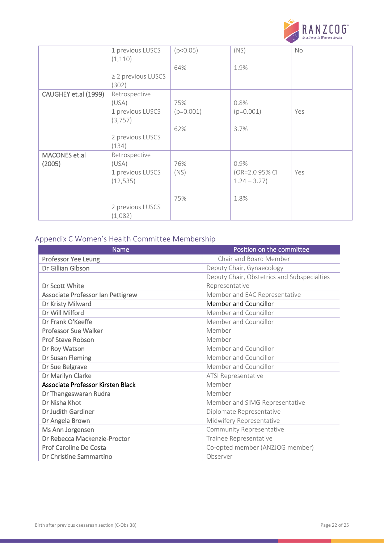

|                      | 1 previous LUSCS        | (p<0.05)    | (NS)           | No  |
|----------------------|-------------------------|-------------|----------------|-----|
|                      |                         |             |                |     |
|                      | (1, 110)                |             |                |     |
|                      |                         | 64%         | 1.9%           |     |
|                      | $\geq$ 2 previous LUSCS |             |                |     |
|                      | (302)                   |             |                |     |
| CAUGHEY et.al (1999) | Retrospective           |             |                |     |
|                      | (USA)                   | 75%         | 0.8%           |     |
|                      | 1 previous LUSCS        | $(p=0.001)$ | $(p=0.001)$    | Yes |
|                      | (3, 757)                |             |                |     |
|                      |                         | 62%         | 3.7%           |     |
|                      | 2 previous LUSCS        |             |                |     |
|                      | (134)                   |             |                |     |
| <b>MACONES</b> et.al | Retrospective           |             |                |     |
| (2005)               | (USA)                   | 76%         | 0.9%           |     |
|                      | 1 previous LUSCS        | (NS)        | (OR=2.0 95% CI | Yes |
|                      | (12, 535)               |             | $1.24 - 3.27$  |     |
|                      |                         |             |                |     |
|                      |                         | 75%         | 1.8%           |     |
|                      |                         |             |                |     |
|                      | 2 previous LUSCS        |             |                |     |
|                      | (1,082)                 |             |                |     |

# <span id="page-21-0"></span>Appendix C Women's Health Committee Membership

| <b>Name</b>                       | Position on the committee                   |
|-----------------------------------|---------------------------------------------|
| <b>Professor Yee Leung</b>        | Chair and Board Member                      |
| Dr Gillian Gibson                 | Deputy Chair, Gynaecology                   |
|                                   | Deputy Chair, Obstetrics and Subspecialties |
| Dr Scott White                    | Representative                              |
| Associate Professor Ian Pettigrew | Member and EAC Representative               |
| Dr Kristy Milward                 | Member and Councillor                       |
| Dr Will Milford                   | Member and Councillor                       |
| Dr Frank O'Keeffe                 | Member and Councillor                       |
| <b>Professor Sue Walker</b>       | Member                                      |
| <b>Prof Steve Robson</b>          | Member                                      |
| Dr Roy Watson                     | Member and Councillor                       |
| Dr Susan Fleming                  | Member and Councillor                       |
| Dr Sue Belgrave                   | Member and Councillor                       |
| Dr Marilyn Clarke                 | ATSI Representative                         |
| Associate Professor Kirsten Black | Member                                      |
| Dr Thangeswaran Rudra             | Member                                      |
| Dr Nisha Khot                     | Member and SIMG Representative              |
| Dr Judith Gardiner                | Diplomate Representative                    |
| Dr Angela Brown                   | Midwifery Representative                    |
| Ms Ann Jorgensen                  | Community Representative                    |
| Dr Rebecca Mackenzie-Proctor      | Trainee Representative                      |
| <b>Prof Caroline De Costa</b>     | Co-opted member (ANZJOG member)             |
| Dr Christine Sammartino           | Observer                                    |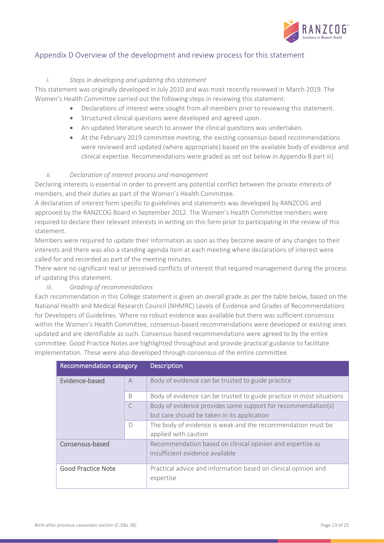

## <span id="page-22-0"></span>Appendix D Overview of the development and review process for this statement

### *i. Steps in developing and updating this statement*

This statement was originally developed in July 2010 and was most recently reviewed in March 2019. The Women's Health Committee carried out the following steps in reviewing this statement:

- Declarations of interest were sought from all members prior to reviewing this statement.
- Structured clinical questions were developed and agreed upon.
- An updated literature search to answer the clinical questions was undertaken.
- At the February 2019 committee meeting, the existing consensus-based recommendations were reviewed and updated (where appropriate) based on the available body of evidence and clinical expertise. Recommendations were graded as set out below in Appendix B part iii)

### *ii. Declaration of interest process and management*

Declaring interests is essential in order to prevent any potential conflict between the private interests of members, and their duties as part of the Women's Health Committee.

A declaration of interest form specific to guidelines and statements was developed by RANZCOG and approved by the RANZCOG Board in September 2012. The Women's Health Committee members were required to declare their relevant interests in writing on this form prior to participating in the review of this statement.

Members were required to update their information as soon as they become aware of any changes to their interests and there was also a standing agenda item at each meeting where declarations of interest were called for and recorded as part of the meeting minutes.

There were no significant real or perceived conflicts of interest that required management during the process of updating this statement.

### *iii. Grading of recommendations*

Each recommendation in this College statement is given an overall grade as per the table below, based on the National Health and Medical Research Council (NHMRC) Levels of Evidence and Grades of Recommendations for Developers of Guidelines. Where no robust evidence was available but there was sufficient consensus within the Women's Health Committee, consensus-based recommendations were developed or existing ones updated and are identifiable as such. Consensus-based recommendations were agreed to by the entire committee. Good Practice Notes are highlighted throughout and provide practical guidance to facilitate implementation. These were also developed through consensus of the entire committee.

| <b>Recommendation category</b>   |              | <b>Description</b>                                                          |
|----------------------------------|--------------|-----------------------------------------------------------------------------|
| Evidence-based<br>$\overline{A}$ |              | Body of evidence can be trusted to guide practice                           |
|                                  | <sub>B</sub> | Body of evidence can be trusted to guide practice in most situations        |
|                                  |              | Body of evidence provides some support for recommendation(s)                |
|                                  |              | but care should be taken in its application                                 |
|                                  | $\bigcap$    | The body of evidence is weak and the recommendation must be                 |
|                                  |              | applied with caution                                                        |
| Consensus-based                  |              | Recommendation based on clinical opinion and expertise as                   |
|                                  |              | insufficient evidence available                                             |
| <b>Good Practice Note</b>        |              | Practical advice and information based on clinical opinion and<br>expertise |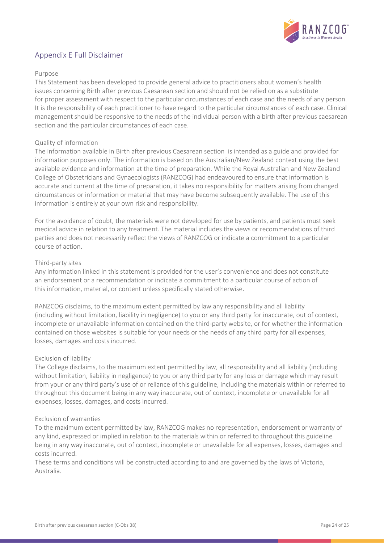

## <span id="page-23-0"></span>Appendix E Full Disclaimer

### Purpose

This Statement has been developed to provide general advice to practitioners about women's health issues concerning Birth after previous Caesarean section and should not be relied on as a substitute for proper assessment with respect to the particular circumstances of each case and the needs of any person. It is the responsibility of each practitioner to have regard to the particular circumstances of each case. Clinical management should be responsive to the needs of the individual person with a birth after previous caesarean section and the particular circumstances of each case.

### Quality of information

The information available in Birth after previous Caesarean section is intended as a guide and provided for information purposes only. The information is based on the Australian/New Zealand context using the best available evidence and information at the time of preparation. While the Royal Australian and New Zealand College of Obstetricians and Gynaecologists (RANZCOG) had endeavoured to ensure that information is accurate and current at the time of preparation, it takes no responsibility for matters arising from changed circumstances or information or material that may have become subsequently available. The use of this information is entirely at your own risk and responsibility.

For the avoidance of doubt, the materials were not developed for use by patients, and patients must seek medical advice in relation to any treatment. The material includes the views or recommendations of third parties and does not necessarily reflect the views of RANZCOG or indicate a commitment to a particular course of action.

### Third-party sites

Any information linked in this statement is provided for the user's convenience and does not constitute an endorsement or a recommendation or indicate a commitment to a particular course of action of this information, material, or content unless specifically stated otherwise.

RANZCOG disclaims, to the maximum extent permitted by law any responsibility and all liability (including without limitation, liability in negligence) to you or any third party for inaccurate, out of context, incomplete or unavailable information contained on the third-party website, or for whether the information contained on those websites is suitable for your needs or the needs of any third party for all expenses, losses, damages and costs incurred.

#### Exclusion of liability

The College disclaims, to the maximum extent permitted by law, all responsibility and all liability (including without limitation, liability in negligence) to you or any third party for any loss or damage which may result from your or any third party's use of or reliance of this guideline, including the materials within or referred to throughout this document being in any way inaccurate, out of context, incomplete or unavailable for all expenses, losses, damages, and costs incurred.

#### Exclusion of warranties

To the maximum extent permitted by law, RANZCOG makes no representation, endorsement or warranty of any kind, expressed or implied in relation to the materials within or referred to throughout this guideline being in any way inaccurate, out of context, incomplete or unavailable for all expenses, losses, damages and costs incurred.

These terms and conditions will be constructed according to and are governed by the laws of Victoria, Australia.